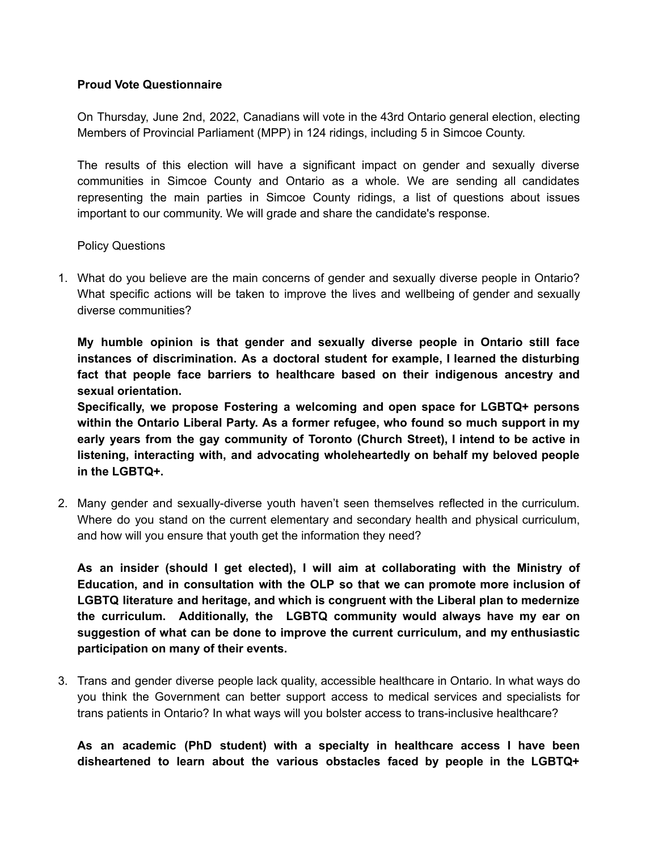## **Proud Vote Questionnaire**

On Thursday, June 2nd, 2022, Canadians will vote in the 43rd Ontario general election, electing Members of Provincial Parliament (MPP) in 124 ridings, including 5 in Simcoe County.

The results of this election will have a significant impact on gender and sexually diverse communities in Simcoe County and Ontario as a whole. We are sending all candidates representing the main parties in Simcoe County ridings, a list of questions about issues important to our community. We will grade and share the candidate's response.

Policy Questions

1. What do you believe are the main concerns of gender and sexually diverse people in Ontario? What specific actions will be taken to improve the lives and wellbeing of gender and sexually diverse communities?

**My humble opinion is that gender and sexually diverse people in Ontario still face instances of discrimination. As a doctoral student for example, I learned the disturbing fact that people face barriers to healthcare based on their indigenous ancestry and sexual orientation.**

**Specifically, we propose Fostering a welcoming and open space for LGBTQ+ persons within the Ontario Liberal Party. As a former refugee, who found so much support in my early years from the gay community of Toronto (Church Street), I intend to be active in listening, interacting with, and advocating wholeheartedly on behalf my beloved people in the LGBTQ+.**

2. Many gender and sexually-diverse youth haven't seen themselves reflected in the curriculum. Where do you stand on the current elementary and secondary health and physical curriculum, and how will you ensure that youth get the information they need?

**As an insider (should I get elected), I will aim at collaborating with the Ministry of Education, and in consultation with the OLP so that we can promote more inclusion of LGBTQ literature and heritage, and which is congruent with the Liberal plan to medernize the curriculum. Additionally, the LGBTQ community would always have my ear on suggestion of what can be done to improve the current curriculum, and my enthusiastic participation on many of their events.**

3. Trans and gender diverse people lack quality, accessible healthcare in Ontario. In what ways do you think the Government can better support access to medical services and specialists for trans patients in Ontario? In what ways will you bolster access to trans-inclusive healthcare?

**As an academic (PhD student) with a specialty in healthcare access I have been disheartened to learn about the various obstacles faced by people in the LGBTQ+**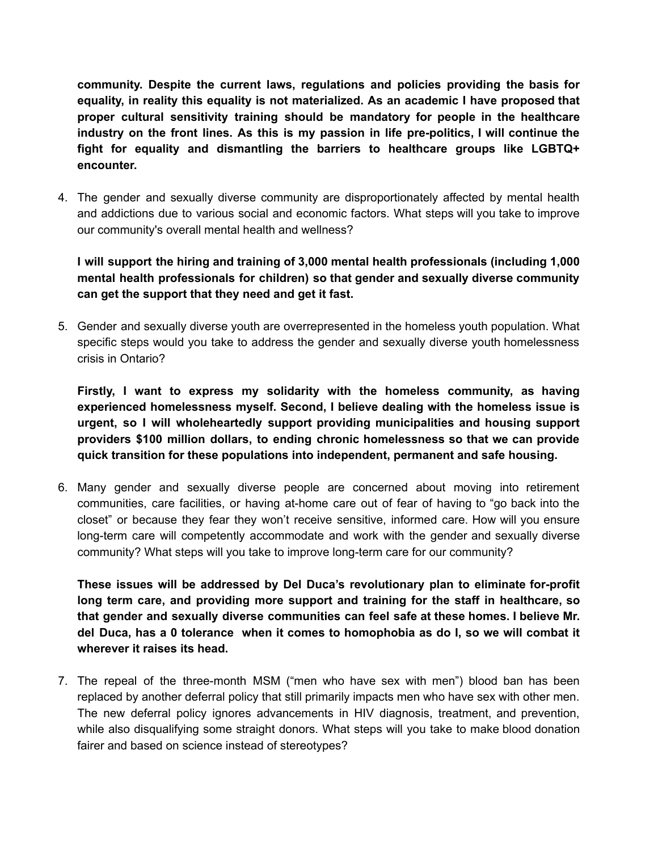**community. Despite the current laws, regulations and policies providing the basis for equality, in reality this equality is not materialized. As an academic I have proposed that proper cultural sensitivity training should be mandatory for people in the healthcare industry on the front lines. As this is my passion in life pre-politics, I will continue the fight for equality and dismantling the barriers to healthcare groups like LGBTQ+ encounter.**

4. The gender and sexually diverse community are disproportionately affected by mental health and addictions due to various social and economic factors. What steps will you take to improve our community's overall mental health and wellness?

**I will support the hiring and training of 3,000 mental health professionals (including 1,000 mental health professionals for children) so that gender and sexually diverse community can get the support that they need and get it fast.**

5. Gender and sexually diverse youth are overrepresented in the homeless youth population. What specific steps would you take to address the gender and sexually diverse youth homelessness crisis in Ontario?

**Firstly, I want to express my solidarity with the homeless community, as having experienced homelessness myself. Second, I believe dealing with the homeless issue is urgent, so I will wholeheartedly support providing municipalities and housing support providers \$100 million dollars, to ending chronic homelessness so that we can provide quick transition for these populations into independent, permanent and safe housing.**

6. Many gender and sexually diverse people are concerned about moving into retirement communities, care facilities, or having at-home care out of fear of having to "go back into the closet" or because they fear they won't receive sensitive, informed care. How will you ensure long-term care will competently accommodate and work with the gender and sexually diverse community? What steps will you take to improve long-term care for our community?

**These issues will be addressed by Del Duca's revolutionary plan to eliminate for-profit long term care, and providing more support and training for the staff in healthcare, so that gender and sexually diverse communities can feel safe at these homes. I believe Mr. del Duca, has a 0 tolerance when it comes to homophobia as do I, so we will combat it wherever it raises its head.**

7. The repeal of the three-month MSM ("men who have sex with men") blood ban has been replaced by another deferral policy that still primarily impacts men who have sex with other men. The new deferral policy ignores advancements in HIV diagnosis, treatment, and prevention, while also disqualifying some straight donors. What steps will you take to make blood donation fairer and based on science instead of stereotypes?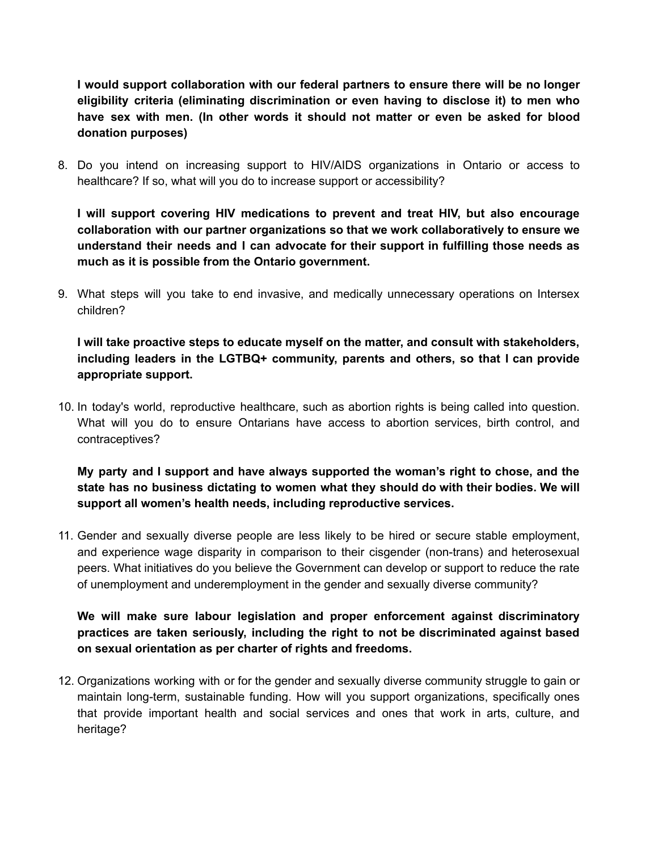**I would support collaboration with our federal partners to ensure there will be no longer eligibility criteria (eliminating discrimination or even having to disclose it) to men who have sex with men. (In other words it should not matter or even be asked for blood donation purposes)**

8. Do you intend on increasing support to HIV/AIDS organizations in Ontario or access to healthcare? If so, what will you do to increase support or accessibility?

**I will support covering HIV medications to prevent and treat HIV, but also encourage collaboration with our partner organizations so that we work collaboratively to ensure we understand their needs and I can advocate for their support in fulfilling those needs as much as it is possible from the Ontario government.**

9. What steps will you take to end invasive, and medically unnecessary operations on Intersex children?

**I will take proactive steps to educate myself on the matter, and consult with stakeholders, including leaders in the LGTBQ+ community, parents and others, so that I can provide appropriate support.**

10. In today's world, reproductive healthcare, such as abortion rights is being called into question. What will you do to ensure Ontarians have access to abortion services, birth control, and contraceptives?

**My party and I support and have always supported the woman's right to chose, and the state has no business dictating to women what they should do with their bodies. We will support all women's health needs, including reproductive services.**

11. Gender and sexually diverse people are less likely to be hired or secure stable employment, and experience wage disparity in comparison to their cisgender (non-trans) and heterosexual peers. What initiatives do you believe the Government can develop or support to reduce the rate of unemployment and underemployment in the gender and sexually diverse community?

**We will make sure labour legislation and proper enforcement against discriminatory practices are taken seriously, including the right to not be discriminated against based on sexual orientation as per charter of rights and freedoms.**

12. Organizations working with or for the gender and sexually diverse community struggle to gain or maintain long-term, sustainable funding. How will you support organizations, specifically ones that provide important health and social services and ones that work in arts, culture, and heritage?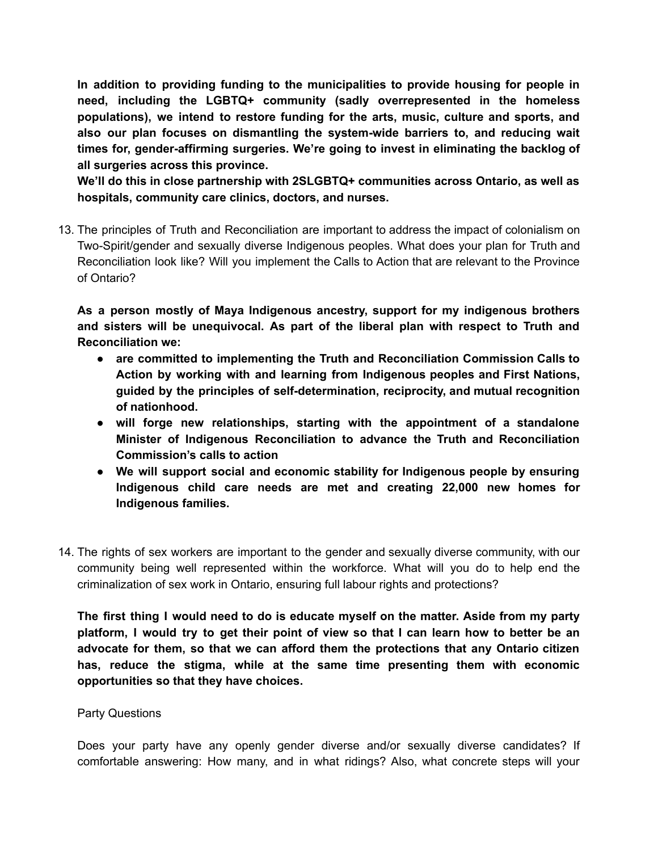**In addition to providing funding to the municipalities to provide housing for people in need, including the LGBTQ+ community (sadly overrepresented in the homeless populations), we intend to restore funding for the arts, music, culture and sports, and also our plan focuses on dismantling the system-wide barriers to, and reducing wait times for, gender-affirming surgeries. We're going to invest in eliminating the backlog of all surgeries across this province.**

**We'll do this in close partnership with 2SLGBTQ+ communities across Ontario, as well as hospitals, community care clinics, doctors, and nurses.**

13. The principles of Truth and Reconciliation are important to address the impact of colonialism on Two-Spirit/gender and sexually diverse Indigenous peoples. What does your plan for Truth and Reconciliation look like? Will you implement the Calls to Action that are relevant to the Province of Ontario?

**As a person mostly of Maya Indigenous ancestry, support for my indigenous brothers and sisters will be unequivocal. As part of the liberal plan with respect to Truth and Reconciliation we:**

- **● are committed to implementing the Truth and Reconciliation Commission Calls to Action by working with and learning from Indigenous peoples and First Nations, guided by the principles of self-determination, reciprocity, and mutual recognition of nationhood.**
- **● will forge new relationships, starting with the appointment of a standalone Minister of Indigenous Reconciliation to advance the Truth and Reconciliation Commission's calls to action**
- **● We will support social and economic stability for Indigenous people by ensuring Indigenous child care needs are met and creating 22,000 new homes for Indigenous families.**
- 14. The rights of sex workers are important to the gender and sexually diverse community, with our community being well represented within the workforce. What will you do to help end the criminalization of sex work in Ontario, ensuring full labour rights and protections?

**The first thing I would need to do is educate myself on the matter. Aside from my party** platform, I would try to get their point of view so that I can learn how to better be an **advocate for them, so that we can afford them the protections that any Ontario citizen has, reduce the stigma, while at the same time presenting them with economic opportunities so that they have choices.**

## Party Questions

Does your party have any openly gender diverse and/or sexually diverse candidates? If comfortable answering: How many, and in what ridings? Also, what concrete steps will your